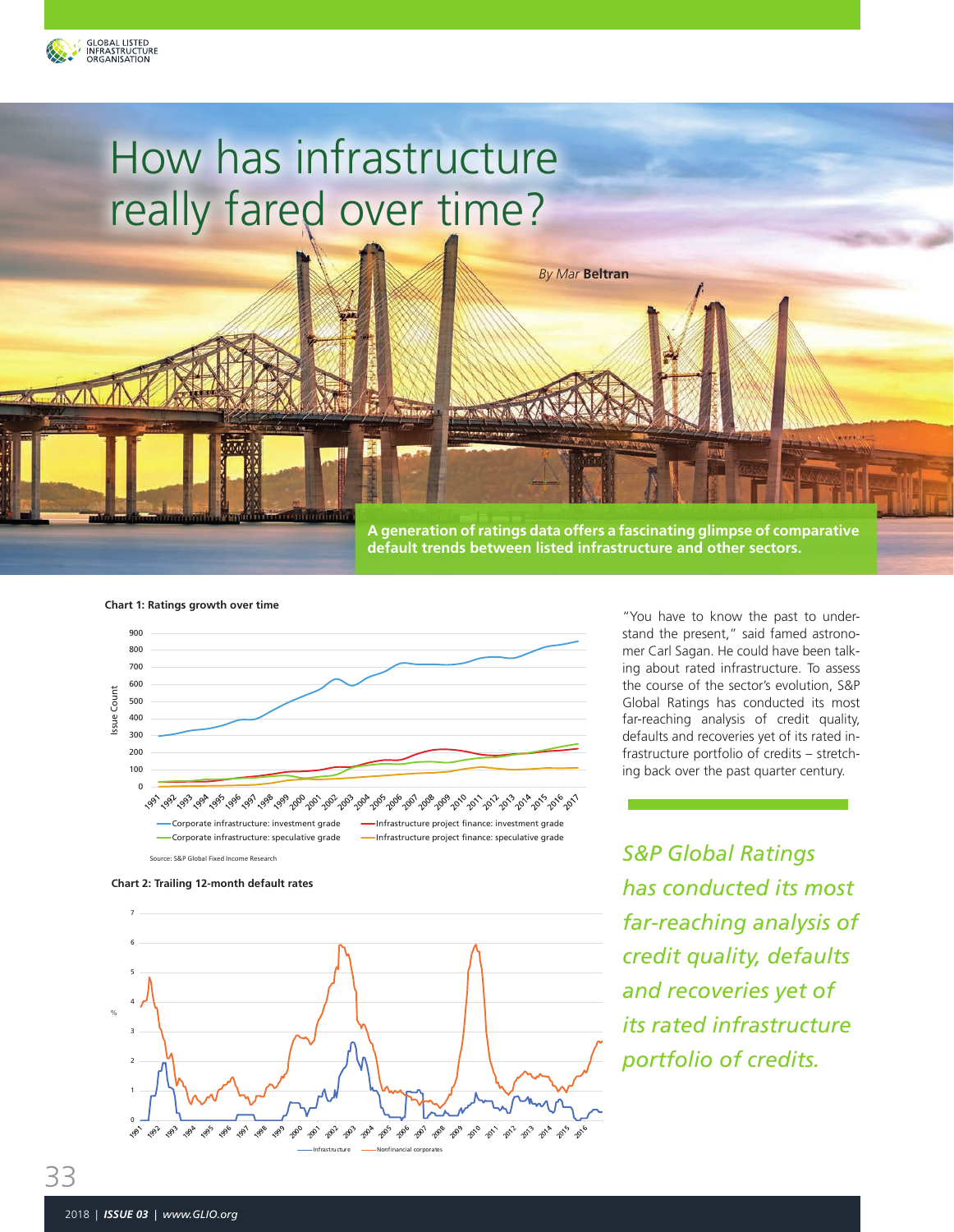

02/28/2005 0.10374 03/31/2005 0.10374 04/30/2005 0.103093 1.01209

 $\Gamma$ 07/31/2008 0.174064 1.1298 **08/31/2018 0.174216** 09/30/2008 0.173762 1.29767 10/31/2008 0.1734 11/30 a.1728 **1.744** 12/31**1/2008 2.1716** 01/31/2009 0.429923 2.41187 02/28/2009 0.258398 2.60638 03/31/2009 0.340136 3.07158 04/30/2009 0.428449 3.75134 05/31/2009 0.428082 4.40505 06/30/2009 0.508475 5.0711 07/31/2009 0.508 08/31/2009 0.59428 5.63428 5.6342 09/30/2009 0.594732 5.78112 10/31/2009 0.59778 5.85525

03/31/2010 0.677966 5.11364

# How has infrastructure really fared over time?

Rated Infrastructure Deals Has Trended Upwards **A generation of ratings data offers a fascinating glimpse of comparative default trends between listed infrastructure and other sectors.**

*By Mar* **Beltran**

**Chart 1: Ratings growth over time**



Between 1991 and 2016, S&P Global Ratings' rated Corporate and Project Finance





"You have to know the past to understand the present," said famed astronomer Carl Sagan. He could have been talking about rated infrastructure. To assess the course of the sector's evolution, S&P Global Ratings has conducted its most far-reaching analysis of credit quality, defaults and recoveries yet of its rated infrastructure portfolio of credits – stretching back over the past quarter century.

*S&P Global Ratings has conducted its most far-reaching analysis of credit quality, defaults and recoveries yet of its rated infrastructure portfolio of credits.*

09/30/30/2015 0 1.51

12/31/2015 0.073801 1.71405 01/31/2016 0.073529 1.62805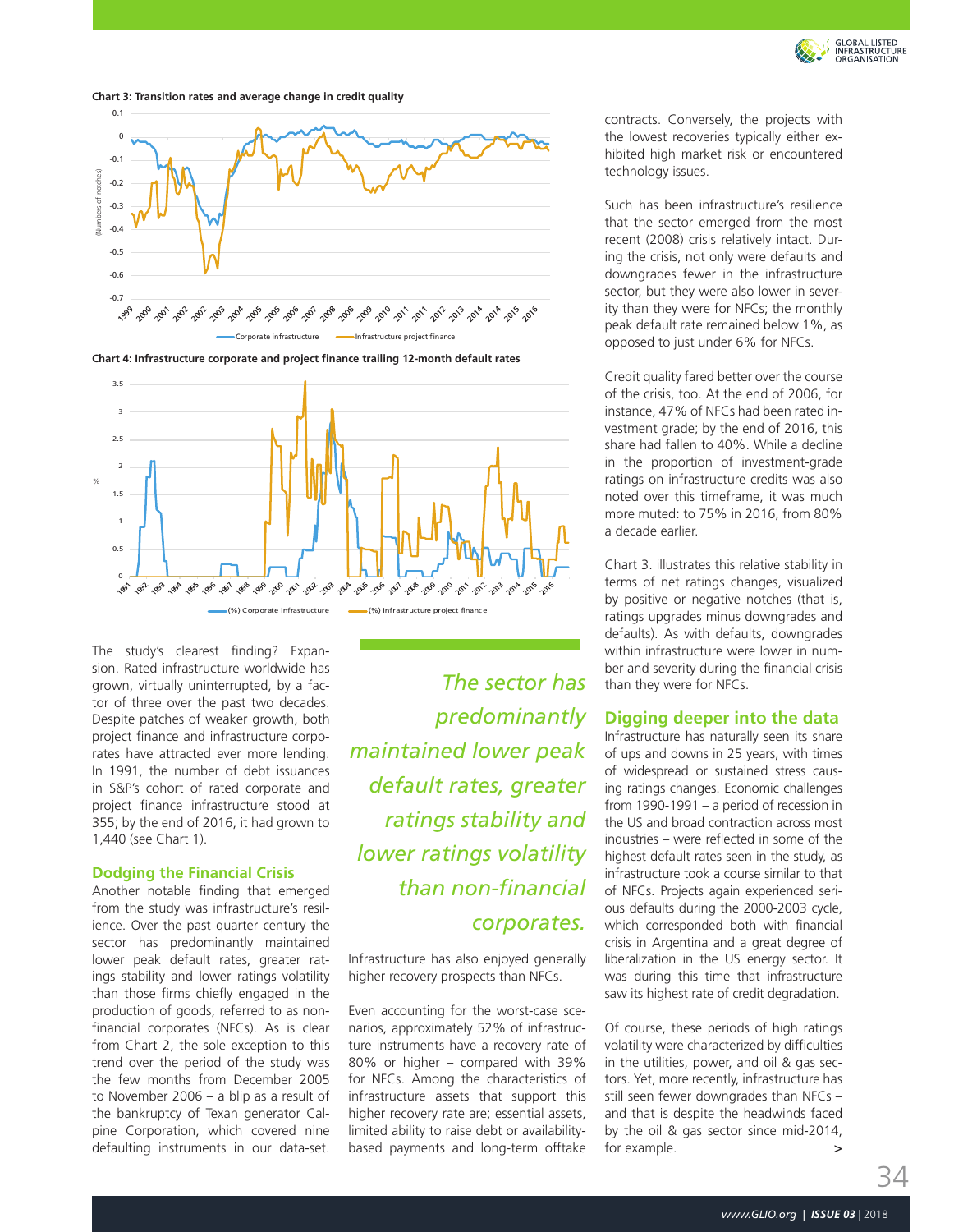

**Chart 3: Transition rates and average change in credit quality**



4 **Chart 4: Infrastructure corporate and project finance trailing 12-month default rates**



The study's clearest finding? Expansion. Rated infrastructure worldwide has grown, virtually uninterrupted, by a factor of three over the past two decades. Despite patches of weaker growth, both project finance and infrastructure corporates have attracted ever more lending. In 1991, the number of debt issuances in S&P's cohort of rated corporate and project finance infrastructure stood at 355; by the end of 2016, it had grown to 1,440 (see Chart 1).

#### **Dodging the Financial Crisis**

Another notable finding that emerged from the study was infrastructure's resilience. Over the past quarter century the sector has predominantly maintained lower peak default rates, greater ratings stability and lower ratings volatility than those firms chiefly engaged in the production of goods, referred to as nonfinancial corporates (NFCs). As is clear from Chart 2, the sole exception to this trend over the period of the study was the few months from December 2005 to November 2006 – a blip as a result of the bankruptcy of Texan generator Calpine Corporation, which covered nine defaulting instruments in our data-set.

*The sector has predominantly maintained lower peak default rates, greater ratings stability and lower ratings volatility than non-financial corporates.*

Infrastructure has also enjoyed generally higher recovery prospects than NFCs.

Even accounting for the worst-case scenarios, approximately 52% of infrastructure instruments have a recovery rate of 80% or higher – compared with 39% for NFCs. Among the characteristics of infrastructure assets that support this higher recovery rate are; essential assets, limited ability to raise debt or availabilitybased payments and long-term offtake

contracts. Conversely, the projects with the lowest recoveries typically either exhibited high market risk or encountered technology issues.

Such has been infrastructure's resilience that the sector emerged from the most recent (2008) crisis relatively intact. During the crisis, not only were defaults and downgrades fewer in the infrastructure sector, but they were also lower in severity than they were for NFCs; the monthly peak default rate remained below 1%, as opposed to just under 6% for NFCs.

Credit quality fared better over the course of the crisis, too. At the end of 2006, for instance, 47% of NFCs had been rated investment grade; by the end of 2016, this share had fallen to 40%. While a decline in the proportion of investment-grade ratings on infrastructure credits was also noted over this timeframe, it was much more muted: to 75% in 2016, from 80% a decade earlier.

Chart 3. illustrates this relative stability in terms of net ratings changes, visualized by positive or negative notches (that is, ratings upgrades minus downgrades and defaults). As with defaults, downgrades within infrastructure were lower in number and severity during the financial crisis than they were for NFCs.

## **Digging deeper into the data**

Infrastructure has naturally seen its share of ups and downs in 25 years, with times of widespread or sustained stress causing ratings changes. Economic challenges from 1990-1991 – a period of recession in the US and broad contraction across most industries – were reflected in some of the highest default rates seen in the study, as infrastructure took a course similar to that of NFCs. Projects again experienced serious defaults during the 2000-2003 cycle, which corresponded both with financial crisis in Argentina and a great degree of liberalization in the US energy sector. It was during this time that infrastructure saw its highest rate of credit degradation.

Of course, these periods of high ratings volatility were characterized by difficulties in the utilities, power, and oil & gas sectors. Yet, more recently, infrastructure has still seen fewer downgrades than NFCs – and that is despite the headwinds faced by the oil & gas sector since mid-2014, for example. >

34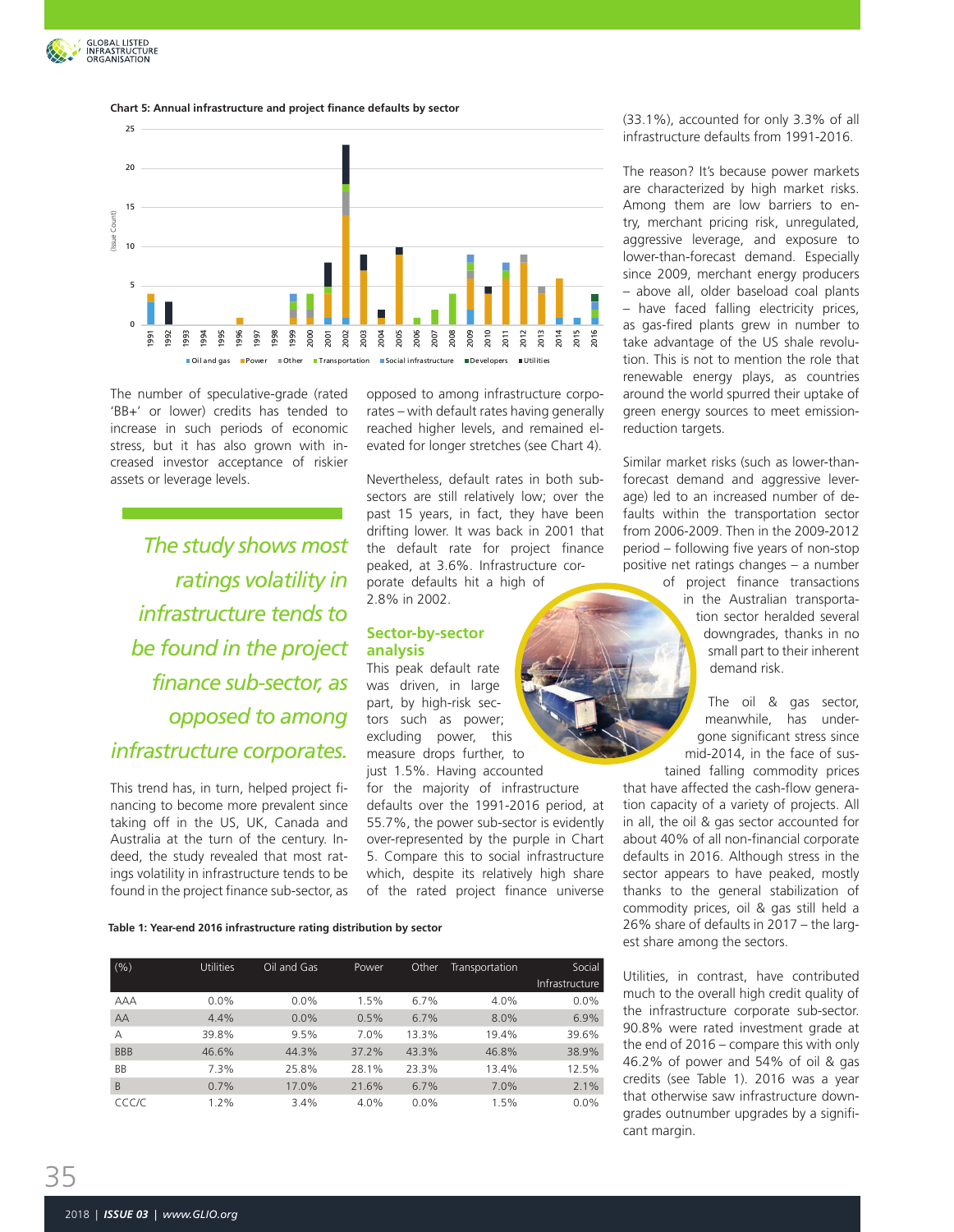

#### **Chart 5: Annual infrastructure and project finance defaults by sector**



The number of speculative-grade (rated 'BB+' or lower) credits has tended to increase in such periods of economic stress, but it has also grown with increased investor acceptance of riskier assets or leverage levels.

*The study shows most ratings volatility in infrastructure tends to be found in the project finance sub-sector, as opposed to among infrastructure corporates.*

This trend has, in turn, helped project financing to become more prevalent since taking off in the US, UK, Canada and Australia at the turn of the century. Indeed, the study revealed that most ratings volatility in infrastructure tends to be found in the project finance sub-sector, as opposed to among infrastructure corporates – with default rates having generally reached higher levels, and remained elevated for longer stretches (see Chart 4).

Nevertheless, default rates in both subsectors are still relatively low; over the past 15 years, in fact, they have been drifting lower. It was back in 2001 that the default rate for project finance peaked, at 3.6%. Infrastructure corporate defaults hit a high of 2.8% in 2002.

#### **Sector-by-sector analysis**

This peak default rate was driven, in large part, by high-risk sectors such as power; excluding power, this measure drops further, to just 1.5%. Having accounted

for the majority of infrastructure defaults over the 1991-2016 period, at 55.7%, the power sub-sector is evidently over-represented by the purple in Chart 5. Compare this to social infrastructure which, despite its relatively high share of the rated project finance universe

**Table 1: Year-end 2016 infrastructure rating distribution by sector**

|            | <b>Utilities</b> |             |              |         |                |                |
|------------|------------------|-------------|--------------|---------|----------------|----------------|
| (% )       |                  | Oil and Gas | <b>Power</b> | Other   | Transportation | Social         |
|            |                  |             |              |         |                | Infrastructure |
| <b>AAA</b> | $0.0\%$          | $0.0\%$     | 1.5%         | 6.7%    | 4.0%           | $0.0\%$        |
| AA         | 4.4%             | 0.0%        | 0.5%         | 6.7%    | 8.0%           | 6.9%           |
| A          | 39.8%            | 9.5%        | 7.0%         | 13.3%   | 19.4%          | 39.6%          |
| <b>BBB</b> | 46.6%            | 44.3%       | 37.2%        | 43.3%   | 46.8%          | 38.9%          |
| BB         | 7.3%             | 25.8%       | 28.1%        | 23.3%   | 13.4%          | 12.5%          |
| B          | 0.7%             | 17.0%       | 21.6%        | 6.7%    | 7.0%           | 2.1%           |
| CCC/C      | 1.2%             | 3.4%        | 4.0%         | $0.0\%$ | 1.5%           | $0.0\%$        |

(33.1%), accounted for only 3.3% of all infrastructure defaults from 1991-2016.

The reason? It's because power markets are characterized by high market risks. Among them are low barriers to entry, merchant pricing risk, unregulated, aggressive leverage, and exposure to lower-than-forecast demand. Especially since 2009, merchant energy producers – above all, older baseload coal plants – have faced falling electricity prices, as gas-fired plants grew in number to take advantage of the US shale revolution. This is not to mention the role that renewable energy plays, as countries around the world spurred their uptake of green energy sources to meet emissionreduction targets.

Similar market risks (such as lower-thanforecast demand and aggressive leverage) led to an increased number of defaults within the transportation sector from 2006-2009. Then in the 2009-2012 period – following five years of non-stop positive net ratings changes – a number

> of project finance transactions in the Australian transportation sector heralded several downgrades, thanks in no small part to their inherent demand risk.

The oil & gas sector, meanwhile, has undergone significant stress since mid-2014, in the face of sustained falling commodity prices

that have affected the cash-flow generation capacity of a variety of projects. All in all, the oil & gas sector accounted for about 40% of all non-financial corporate defaults in 2016. Although stress in the sector appears to have peaked, mostly thanks to the general stabilization of commodity prices, oil & gas still held a 26% share of defaults in 2017 – the largest share among the sectors.

Utilities, in contrast, have contributed much to the overall high credit quality of the infrastructure corporate sub-sector. 90.8% were rated investment grade at the end of 2016 – compare this with only 46.2% of power and 54% of oil & gas credits (see Table 1). 2016 was a year that otherwise saw infrastructure downgrades outnumber upgrades by a significant margin.